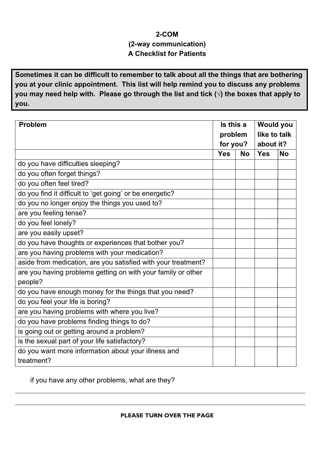## **2-COM (2-way communication) A Checklist for Patients**

**Sometimes it can be difficult to remember to talk about all the things that are bothering you at your clinic appointment. This list will help remind you to discuss any problems you may need help with. Please go through the list and tick (√) the boxes that apply to you.**

| <b>Problem</b>                                                | Is this a<br>problem |           | <b>Would you</b><br>like to talk |           |
|---------------------------------------------------------------|----------------------|-----------|----------------------------------|-----------|
|                                                               |                      |           |                                  |           |
|                                                               | for you?             |           | about it?                        |           |
|                                                               | <b>Yes</b>           | <b>No</b> | <b>Yes</b>                       | <b>No</b> |
| do you have difficulties sleeping?                            |                      |           |                                  |           |
| do you often forget things?                                   |                      |           |                                  |           |
| do you often feel tired?                                      |                      |           |                                  |           |
| do you find it difficult to 'get going' or be energetic?      |                      |           |                                  |           |
| do you no longer enjoy the things you used to?                |                      |           |                                  |           |
| are you feeling tense?                                        |                      |           |                                  |           |
| do you feel lonely?                                           |                      |           |                                  |           |
| are you easily upset?                                         |                      |           |                                  |           |
| do you have thoughts or experiences that bother you?          |                      |           |                                  |           |
| are you having problems with your medication?                 |                      |           |                                  |           |
| aside from medication, are you satisfied with your treatment? |                      |           |                                  |           |
| are you having problems getting on with your family or other  |                      |           |                                  |           |
| people?                                                       |                      |           |                                  |           |
| do you have enough money for the things that you need?        |                      |           |                                  |           |
| do you feel your life is boring?                              |                      |           |                                  |           |
| are you having problems with where you live?                  |                      |           |                                  |           |
| do you have problems finding things to do?                    |                      |           |                                  |           |
| is going out or getting around a problem?                     |                      |           |                                  |           |
| is the sexual part of your life satisfactory?                 |                      |           |                                  |           |
| do you want more information about your illness and           |                      |           |                                  |           |
| treatment?                                                    |                      |           |                                  |           |

if you have any other problems, what are they?